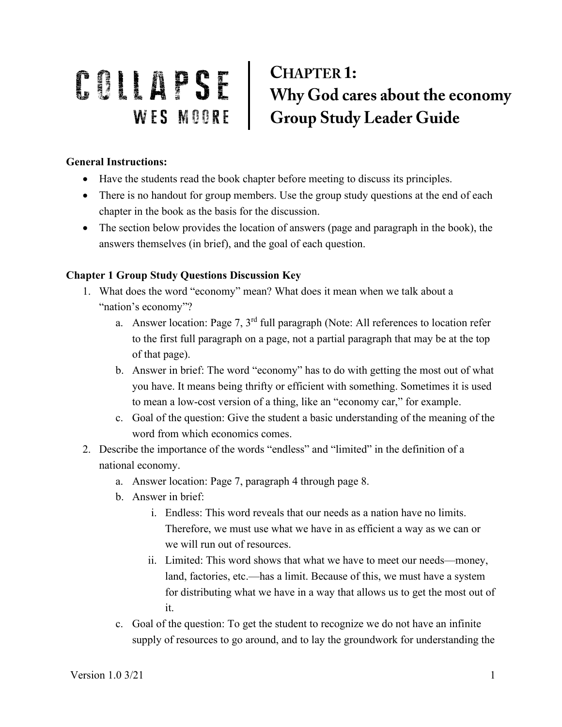## COMPTER 1:<br>
Why God cares about the economy<br>
WES MOORE Group Study Leader Guide

## **General Instructions:**

- Have the students read the book chapter before meeting to discuss its principles.
- There is no handout for group members. Use the group study questions at the end of each chapter in the book as the basis for the discussion.
- The section below provides the location of answers (page and paragraph in the book), the answers themselves (in brief), and the goal of each question.

## **Chapter 1 Group Study Questions Discussion Key**

- 1. What does the word "economy" mean? What does it mean when we talk about a "nation's economy"?
	- a. Answer location: Page 7, 3rd full paragraph (Note: All references to location refer to the first full paragraph on a page, not a partial paragraph that may be at the top of that page).
	- b. Answer in brief: The word "economy" has to do with getting the most out of what you have. It means being thrifty or efficient with something. Sometimes it is used to mean a low-cost version of a thing, like an "economy car," for example.
	- c. Goal of the question: Give the student a basic understanding of the meaning of the word from which economics comes.
- 2. Describe the importance of the words "endless" and "limited" in the definition of a national economy.
	- a. Answer location: Page 7, paragraph 4 through page 8.
	- b. Answer in brief:
		- i. Endless: This word reveals that our needs as a nation have no limits. Therefore, we must use what we have in as efficient a way as we can or we will run out of resources.
		- ii. Limited: This word shows that what we have to meet our needs—money, land, factories, etc.—has a limit. Because of this, we must have a system for distributing what we have in a way that allows us to get the most out of it.
	- c. Goal of the question: To get the student to recognize we do not have an infinite supply of resources to go around, and to lay the groundwork for understanding the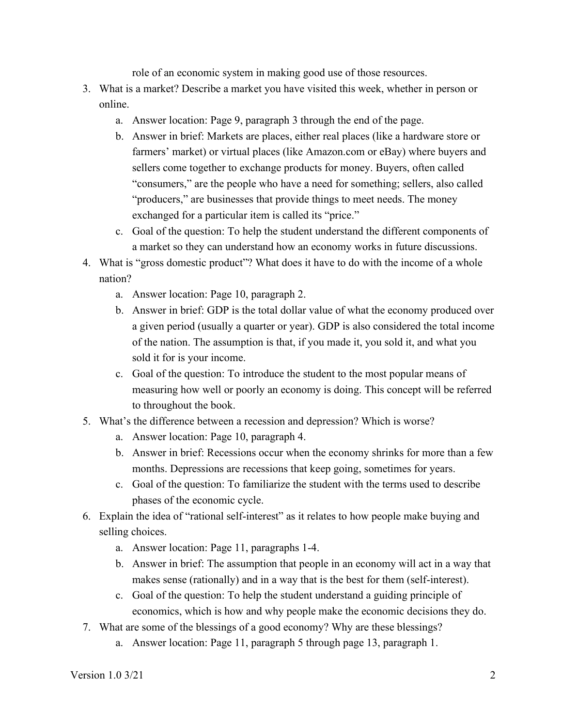role of an economic system in making good use of those resources.

- 3. What is a market? Describe a market you have visited this week, whether in person or online.
	- a. Answer location: Page 9, paragraph 3 through the end of the page.
	- b. Answer in brief: Markets are places, either real places (like a hardware store or farmers' market) or virtual places (like Amazon.com or eBay) where buyers and sellers come together to exchange products for money. Buyers, often called "consumers," are the people who have a need for something; sellers, also called "producers," are businesses that provide things to meet needs. The money exchanged for a particular item is called its "price."
	- c. Goal of the question: To help the student understand the different components of a market so they can understand how an economy works in future discussions.
- 4. What is "gross domestic product"? What does it have to do with the income of a whole nation?
	- a. Answer location: Page 10, paragraph 2.
	- b. Answer in brief: GDP is the total dollar value of what the economy produced over a given period (usually a quarter or year). GDP is also considered the total income of the nation. The assumption is that, if you made it, you sold it, and what you sold it for is your income.
	- c. Goal of the question: To introduce the student to the most popular means of measuring how well or poorly an economy is doing. This concept will be referred to throughout the book.
- 5. What's the difference between a recession and depression? Which is worse?
	- a. Answer location: Page 10, paragraph 4.
	- b. Answer in brief: Recessions occur when the economy shrinks for more than a few months. Depressions are recessions that keep going, sometimes for years.
	- c. Goal of the question: To familiarize the student with the terms used to describe phases of the economic cycle.
- 6. Explain the idea of "rational self-interest" as it relates to how people make buying and selling choices.
	- a. Answer location: Page 11, paragraphs 1-4.
	- b. Answer in brief: The assumption that people in an economy will act in a way that makes sense (rationally) and in a way that is the best for them (self-interest).
	- c. Goal of the question: To help the student understand a guiding principle of economics, which is how and why people make the economic decisions they do.
- 7. What are some of the blessings of a good economy? Why are these blessings?
	- a. Answer location: Page 11, paragraph 5 through page 13, paragraph 1.